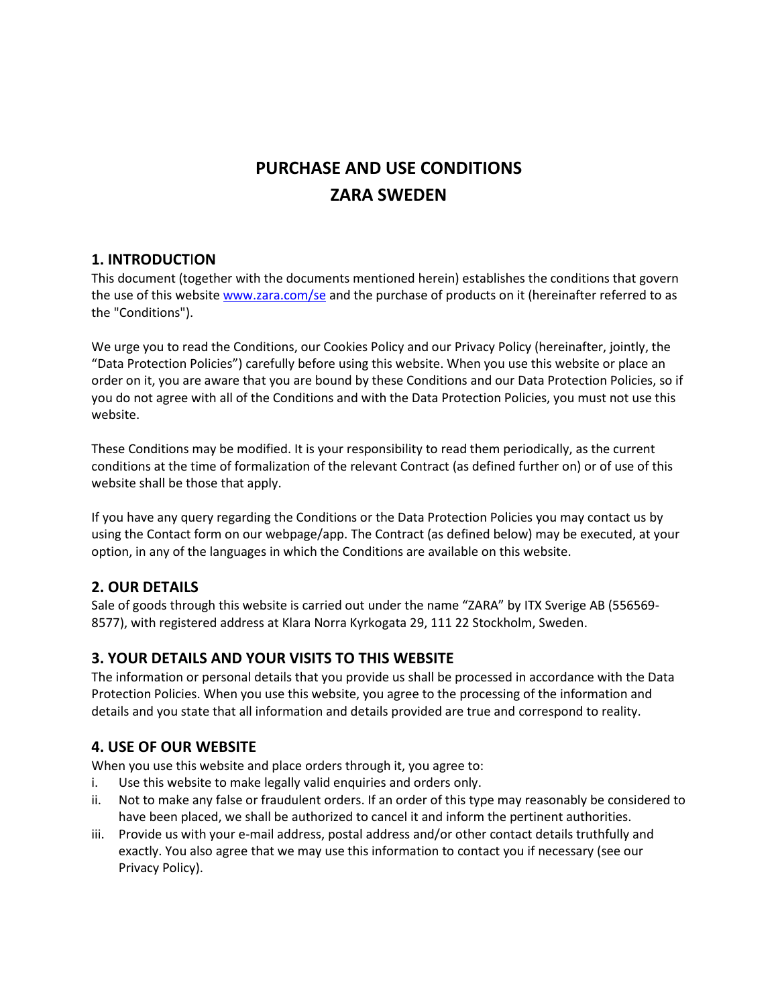# **PURCHASE AND USE CONDITIONS ZARA SWEDEN**

# **1. INTRODUCT**I**ON**

This document (together with the documents mentioned herein) establishes the conditions that govern the use of this websit[e www.zara.com/se](http://www.zara.com/se) and the purchase of products on it (hereinafter referred to as the "Conditions").

We urge you to read the Conditions, our Cookies Policy and our Privacy Policy (hereinafter, jointly, the "Data Protection Policies") carefully before using this website. When you use this website or place an order on it, you are aware that you are bound by these Conditions and our Data Protection Policies, so if you do not agree with all of the Conditions and with the Data Protection Policies, you must not use this website.

These Conditions may be modified. It is your responsibility to read them periodically, as the current conditions at the time of formalization of the relevant Contract (as defined further on) or of use of this website shall be those that apply.

If you have any query regarding the Conditions or the Data Protection Policies you may contact us by using the Contact form on our webpage/app. The Contract (as defined below) may be executed, at your option, in any of the languages in which the Conditions are available on this website.

# **2. OUR DETAILS**

Sale of goods through this website is carried out under the name "ZARA" by ITX Sverige AB (556569- 8577), with registered address at Klara Norra Kyrkogata 29, 111 22 Stockholm, Sweden.

# **3. YOUR DETAILS AND YOUR VISITS TO THIS WEBSITE**

The information or personal details that you provide us shall be processed in accordance with the Data Protection Policies. When you use this website, you agree to the processing of the information and details and you state that all information and details provided are true and correspond to reality.

# **4. USE OF OUR WEBSITE**

When you use this website and place orders through it, you agree to:

- i. Use this website to make legally valid enquiries and orders only.
- ii. Not to make any false or fraudulent orders. If an order of this type may reasonably be considered to have been placed, we shall be authorized to cancel it and inform the pertinent authorities.
- iii. Provide us with your e-mail address, postal address and/or other contact details truthfully and exactly. You also agree that we may use this information to contact you if necessary (see our Privacy Policy).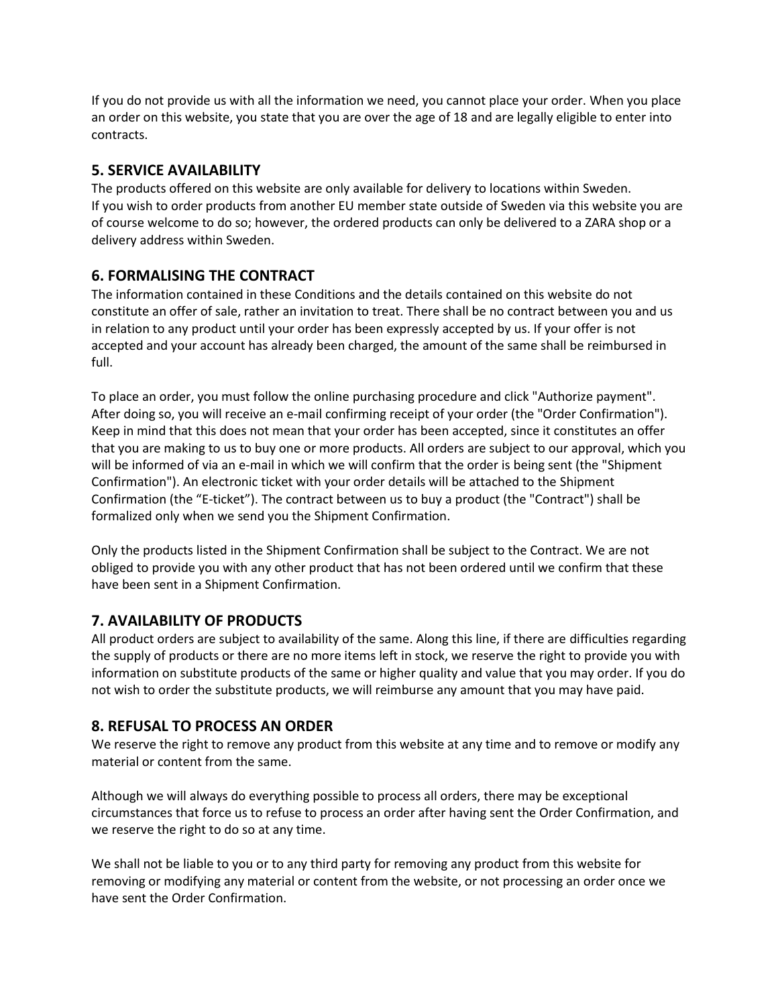If you do not provide us with all the information we need, you cannot place your order. When you place an order on this website, you state that you are over the age of 18 and are legally eligible to enter into contracts.

# **5. SERVICE AVAILABILITY**

The products offered on this website are only available for delivery to locations within Sweden. If you wish to order products from another EU member state outside of Sweden via this website you are of course welcome to do so; however, the ordered products can only be delivered to a ZARA shop or a delivery address within Sweden.

# **6. FORMALISING THE CONTRACT**

The information contained in these Conditions and the details contained on this website do not constitute an offer of sale, rather an invitation to treat. There shall be no contract between you and us in relation to any product until your order has been expressly accepted by us. If your offer is not accepted and your account has already been charged, the amount of the same shall be reimbursed in full.

To place an order, you must follow the online purchasing procedure and click "Authorize payment". After doing so, you will receive an e-mail confirming receipt of your order (the "Order Confirmation"). Keep in mind that this does not mean that your order has been accepted, since it constitutes an offer that you are making to us to buy one or more products. All orders are subject to our approval, which you will be informed of via an e-mail in which we will confirm that the order is being sent (the "Shipment Confirmation"). An electronic ticket with your order details will be attached to the Shipment Confirmation (the "E-ticket"). The contract between us to buy a product (the "Contract") shall be formalized only when we send you the Shipment Confirmation.

Only the products listed in the Shipment Confirmation shall be subject to the Contract. We are not obliged to provide you with any other product that has not been ordered until we confirm that these have been sent in a Shipment Confirmation.

# **7. AVAILABILITY OF PRODUCTS**

All product orders are subject to availability of the same. Along this line, if there are difficulties regarding the supply of products or there are no more items left in stock, we reserve the right to provide you with information on substitute products of the same or higher quality and value that you may order. If you do not wish to order the substitute products, we will reimburse any amount that you may have paid.

# **8. REFUSAL TO PROCESS AN ORDER**

We reserve the right to remove any product from this website at any time and to remove or modify any material or content from the same.

Although we will always do everything possible to process all orders, there may be exceptional circumstances that force us to refuse to process an order after having sent the Order Confirmation, and we reserve the right to do so at any time.

We shall not be liable to you or to any third party for removing any product from this website for removing or modifying any material or content from the website, or not processing an order once we have sent the Order Confirmation.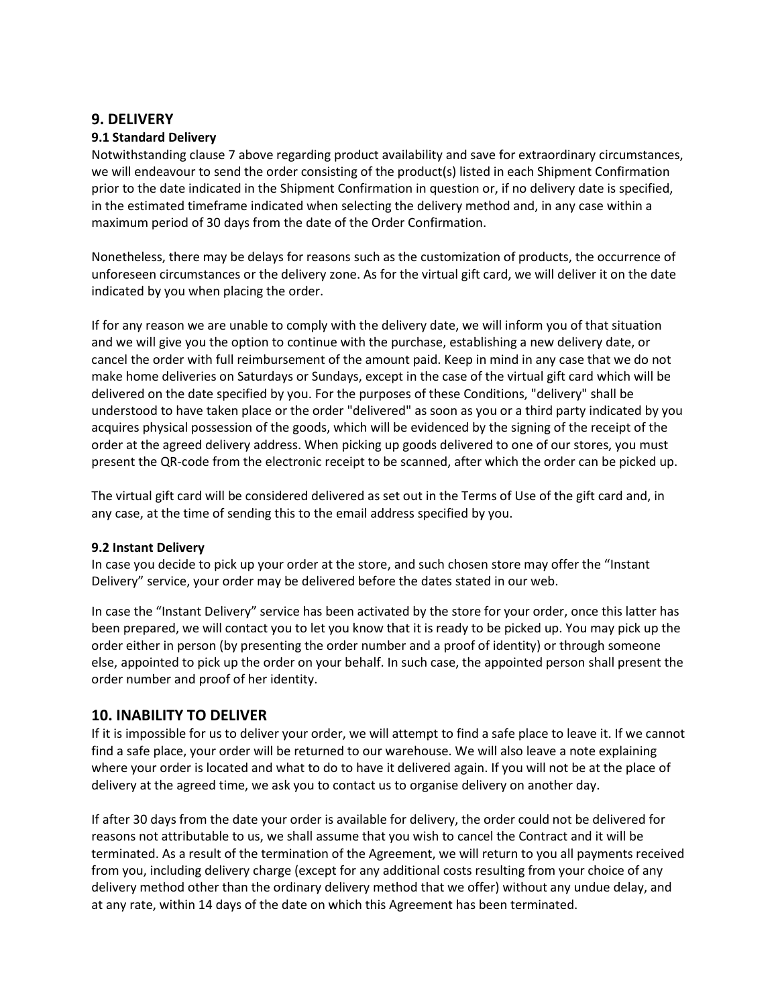### **9. DELIVERY**

#### **9.1 Standard Delivery**

Notwithstanding clause 7 above regarding product availability and save for extraordinary circumstances, we will endeavour to send the order consisting of the product(s) listed in each Shipment Confirmation prior to the date indicated in the Shipment Confirmation in question or, if no delivery date is specified, in the estimated timeframe indicated when selecting the delivery method and, in any case within a maximum period of 30 days from the date of the Order Confirmation.

Nonetheless, there may be delays for reasons such as the customization of products, the occurrence of unforeseen circumstances or the delivery zone. As for the virtual gift card, we will deliver it on the date indicated by you when placing the order.

If for any reason we are unable to comply with the delivery date, we will inform you of that situation and we will give you the option to continue with the purchase, establishing a new delivery date, or cancel the order with full reimbursement of the amount paid. Keep in mind in any case that we do not make home deliveries on Saturdays or Sundays, except in the case of the virtual gift card which will be delivered on the date specified by you. For the purposes of these Conditions, "delivery" shall be understood to have taken place or the order "delivered" as soon as you or a third party indicated by you acquires physical possession of the goods, which will be evidenced by the signing of the receipt of the order at the agreed delivery address. When picking up goods delivered to one of our stores, you must present the QR-code from the electronic receipt to be scanned, after which the order can be picked up.

The virtual gift card will be considered delivered as set out in the Terms of Use of the gift card and, in any case, at the time of sending this to the email address specified by you.

#### **9.2 Instant Delivery**

In case you decide to pick up your order at the store, and such chosen store may offer the "Instant Delivery" service, your order may be delivered before the dates stated in our web.

In case the "Instant Delivery" service has been activated by the store for your order, once this latter has been prepared, we will contact you to let you know that it is ready to be picked up. You may pick up the order either in person (by presenting the order number and a proof of identity) or through someone else, appointed to pick up the order on your behalf. In such case, the appointed person shall present the order number and proof of her identity.

#### **10. INABILITY TO DELIVER**

If it is impossible for us to deliver your order, we will attempt to find a safe place to leave it. If we cannot find a safe place, your order will be returned to our warehouse. We will also leave a note explaining where your order is located and what to do to have it delivered again. If you will not be at the place of delivery at the agreed time, we ask you to contact us to organise delivery on another day.

If after 30 days from the date your order is available for delivery, the order could not be delivered for reasons not attributable to us, we shall assume that you wish to cancel the Contract and it will be terminated. As a result of the termination of the Agreement, we will return to you all payments received from you, including delivery charge (except for any additional costs resulting from your choice of any delivery method other than the ordinary delivery method that we offer) without any undue delay, and at any rate, within 14 days of the date on which this Agreement has been terminated.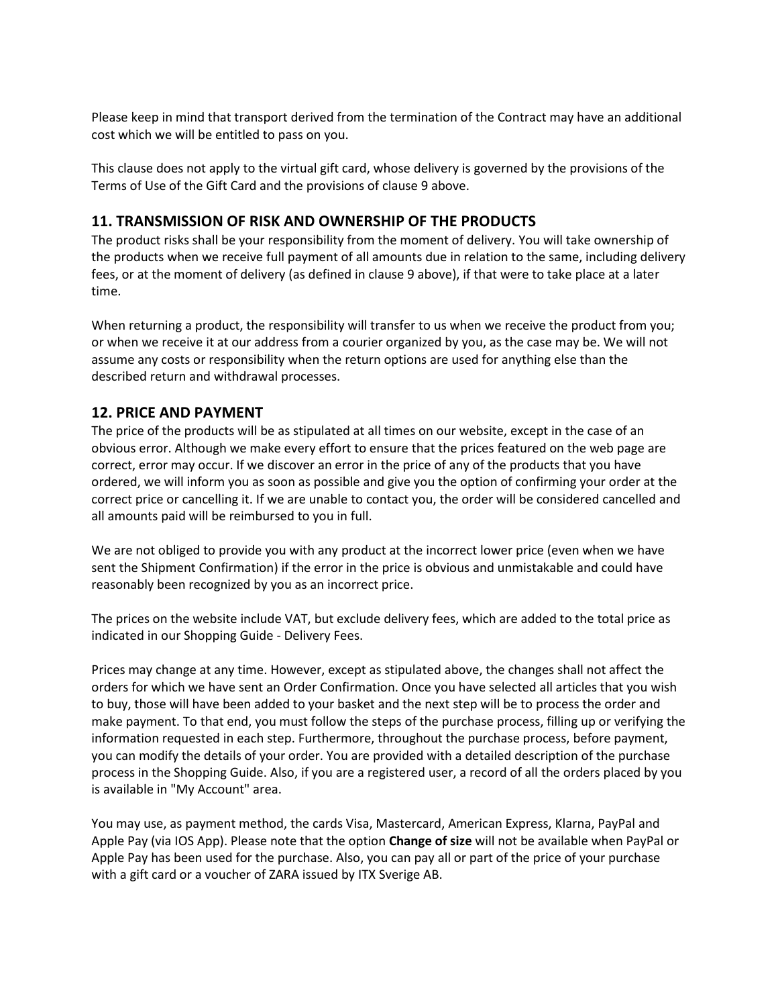Please keep in mind that transport derived from the termination of the Contract may have an additional cost which we will be entitled to pass on you.

This clause does not apply to the virtual gift card, whose delivery is governed by the provisions of the Terms of Use of the Gift Card and the provisions of clause 9 above.

### **11. TRANSMISSION OF RISK AND OWNERSHIP OF THE PRODUCTS**

The product risks shall be your responsibility from the moment of delivery. You will take ownership of the products when we receive full payment of all amounts due in relation to the same, including delivery fees, or at the moment of delivery (as defined in clause 9 above), if that were to take place at a later time.

When returning a product, the responsibility will transfer to us when we receive the product from you; or when we receive it at our address from a courier organized by you, as the case may be. We will not assume any costs or responsibility when the return options are used for anything else than the described return and withdrawal processes.

# **12. PRICE AND PAYMENT**

The price of the products will be as stipulated at all times on our website, except in the case of an obvious error. Although we make every effort to ensure that the prices featured on the web page are correct, error may occur. If we discover an error in the price of any of the products that you have ordered, we will inform you as soon as possible and give you the option of confirming your order at the correct price or cancelling it. If we are unable to contact you, the order will be considered cancelled and all amounts paid will be reimbursed to you in full.

We are not obliged to provide you with any product at the incorrect lower price (even when we have sent the Shipment Confirmation) if the error in the price is obvious and unmistakable and could have reasonably been recognized by you as an incorrect price.

The prices on the website include VAT, but exclude delivery fees, which are added to the total price as indicated in our Shopping Guide - Delivery Fees.

Prices may change at any time. However, except as stipulated above, the changes shall not affect the orders for which we have sent an Order Confirmation. Once you have selected all articles that you wish to buy, those will have been added to your basket and the next step will be to process the order and make payment. To that end, you must follow the steps of the purchase process, filling up or verifying the information requested in each step. Furthermore, throughout the purchase process, before payment, you can modify the details of your order. You are provided with a detailed description of the purchase process in the Shopping Guide. Also, if you are a registered user, a record of all the orders placed by you is available in "My Account" area.

You may use, as payment method, the cards Visa, Mastercard, American Express, Klarna, PayPal and Apple Pay (via IOS App). Please note that the option **Change of size** will not be available when PayPal or Apple Pay has been used for the purchase. Also, you can pay all or part of the price of your purchase with a gift card or a voucher of ZARA issued by ITX Sverige AB.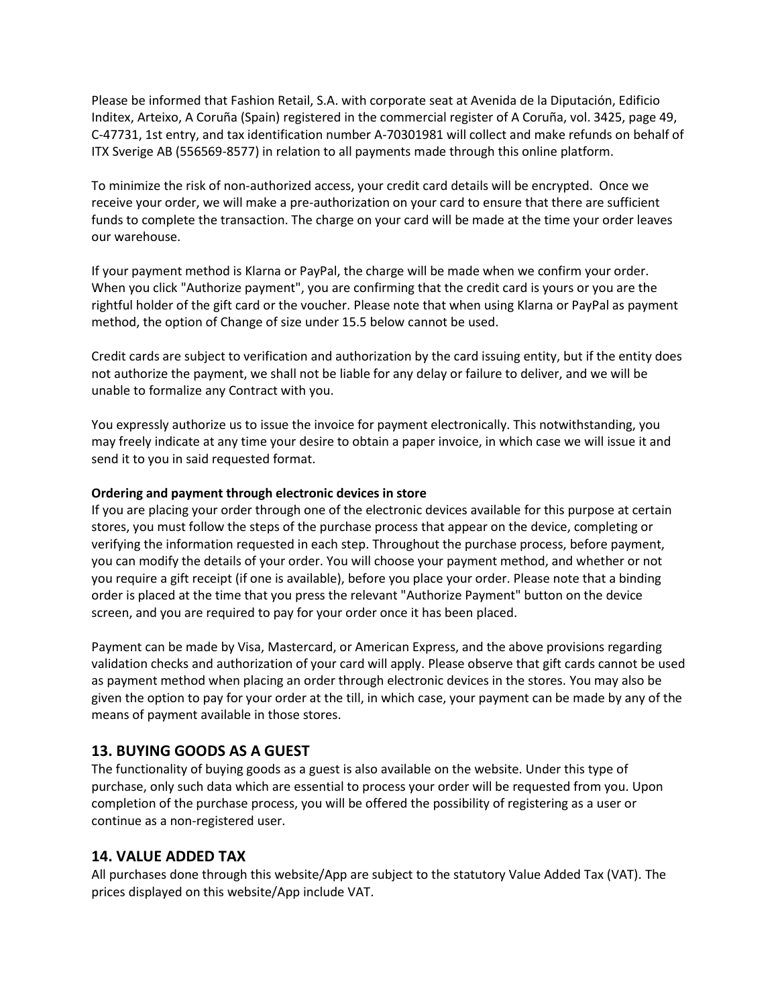Please be informed that Fashion Retail, S.A. with corporate seat at Avenida de la Diputación, Edificio Inditex, Arteixo, A Coruña (Spain) registered in the commercial register of A Coruña, vol. 3425, page 49, C-47731, 1st entry, and tax identification number A-70301981 will collect and make refunds on behalf of ITX Sverige AB (556569-8577) in relation to all payments made through this online platform.

To minimize the risk of non-authorized access, your credit card details will be encrypted. Once we receive your order, we will make a pre-authorization on your card to ensure that there are sufficient funds to complete the transaction. The charge on your card will be made at the time your order leaves our warehouse.

If your payment method is Klarna or PayPal, the charge will be made when we confirm your order. When you click "Authorize payment", you are confirming that the credit card is yours or you are the rightful holder of the gift card or the voucher. Please note that when using Klarna or PayPal as payment method, the option of Change of size under 15.5 below cannot be used.

Credit cards are subject to verification and authorization by the card issuing entity, but if the entity does not authorize the payment, we shall not be liable for any delay or failure to deliver, and we will be unable to formalize any Contract with you.

You expressly authorize us to issue the invoice for payment electronically. This notwithstanding, you may freely indicate at any time your desire to obtain a paper invoice, in which case we will issue it and send it to you in said requested format.

#### **Ordering and payment through electronic devices in store**

If you are placing your order through one of the electronic devices available for this purpose at certain stores, you must follow the steps of the purchase process that appear on the device, completing or verifying the information requested in each step. Throughout the purchase process, before payment, you can modify the details of your order. You will choose your payment method, and whether or not you require a gift receipt (if one is available), before you place your order. Please note that a binding order is placed at the time that you press the relevant "Authorize Payment" button on the device screen, and you are required to pay for your order once it has been placed.

Payment can be made by Visa, Mastercard, or American Express, and the above provisions regarding validation checks and authorization of your card will apply. Please observe that gift cards cannot be used as payment method when placing an order through electronic devices in the stores. You may also be given the option to pay for your order at the till, in which case, your payment can be made by any of the means of payment available in those stores.

#### **13. BUYING GOODS AS A GUEST**

The functionality of buying goods as a guest is also available on the website. Under this type of purchase, only such data which are essential to process your order will be requested from you. Upon completion of the purchase process, you will be offered the possibility of registering as a user or continue as a non-registered user.

#### **14. VALUE ADDED TAX**

All purchases done through this website/App are subject to the statutory Value Added Tax (VAT). The prices displayed on this website/App include VAT.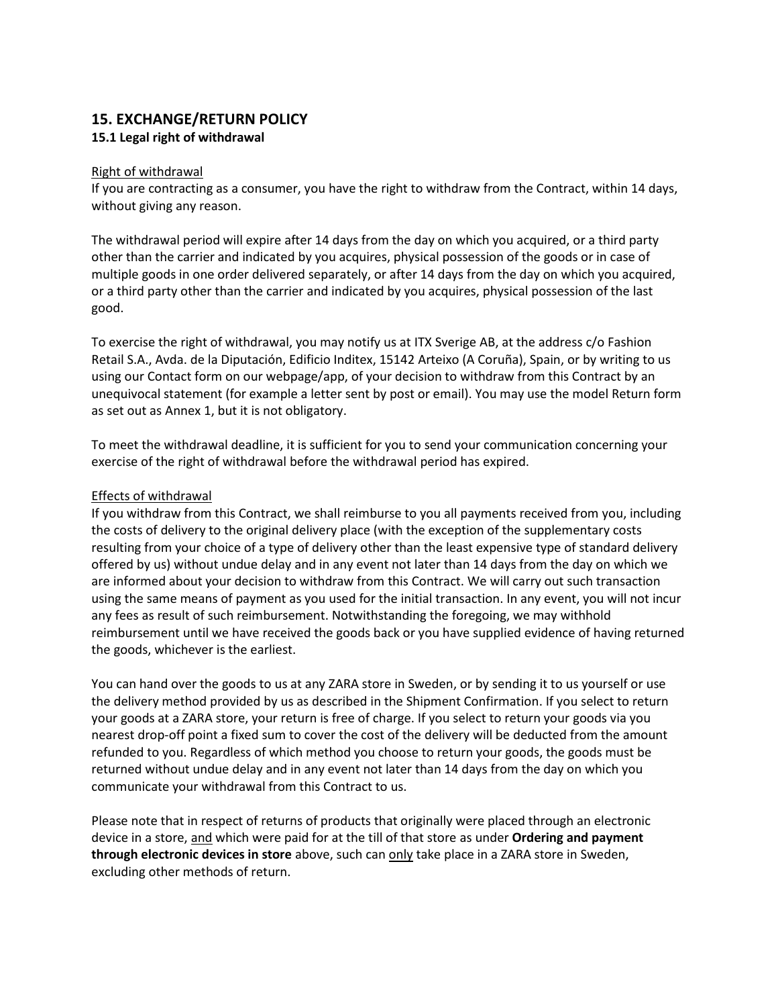# **15. EXCHANGE/RETURN POLICY**

#### **15.1 Legal right of withdrawal**

#### Right of withdrawal

If you are contracting as a consumer, you have the right to withdraw from the Contract, within 14 days, without giving any reason.

The withdrawal period will expire after 14 days from the day on which you acquired, or a third party other than the carrier and indicated by you acquires, physical possession of the goods or in case of multiple goods in one order delivered separately, or after 14 days from the day on which you acquired, or a third party other than the carrier and indicated by you acquires, physical possession of the last good.

To exercise the right of withdrawal, you may notify us at ITX Sverige AB, at the address c/o Fashion Retail S.A., Avda. de la Diputación, Edificio Inditex, 15142 Arteixo (A Coruña), Spain, or by writing to us using our Contact form on our webpage/app, of your decision to withdraw from this Contract by an unequivocal statement (for example a letter sent by post or email). You may use the model Return form as set out as Annex 1, but it is not obligatory.

To meet the withdrawal deadline, it is sufficient for you to send your communication concerning your exercise of the right of withdrawal before the withdrawal period has expired.

#### Effects of withdrawal

If you withdraw from this Contract, we shall reimburse to you all payments received from you, including the costs of delivery to the original delivery place (with the exception of the supplementary costs resulting from your choice of a type of delivery other than the least expensive type of standard delivery offered by us) without undue delay and in any event not later than 14 days from the day on which we are informed about your decision to withdraw from this Contract. We will carry out such transaction using the same means of payment as you used for the initial transaction. In any event, you will not incur any fees as result of such reimbursement. Notwithstanding the foregoing, we may withhold reimbursement until we have received the goods back or you have supplied evidence of having returned the goods, whichever is the earliest.

You can hand over the goods to us at any ZARA store in Sweden, or by sending it to us yourself or use the delivery method provided by us as described in the Shipment Confirmation. If you select to return your goods at a ZARA store, your return is free of charge. If you select to return your goods via you nearest drop-off point a fixed sum to cover the cost of the delivery will be deducted from the amount refunded to you. Regardless of which method you choose to return your goods, the goods must be returned without undue delay and in any event not later than 14 days from the day on which you communicate your withdrawal from this Contract to us.

Please note that in respect of returns of products that originally were placed through an electronic device in a store, and which were paid for at the till of that store as under **Ordering and payment through electronic devices in store** above, such can only take place in a ZARA store in Sweden, excluding other methods of return.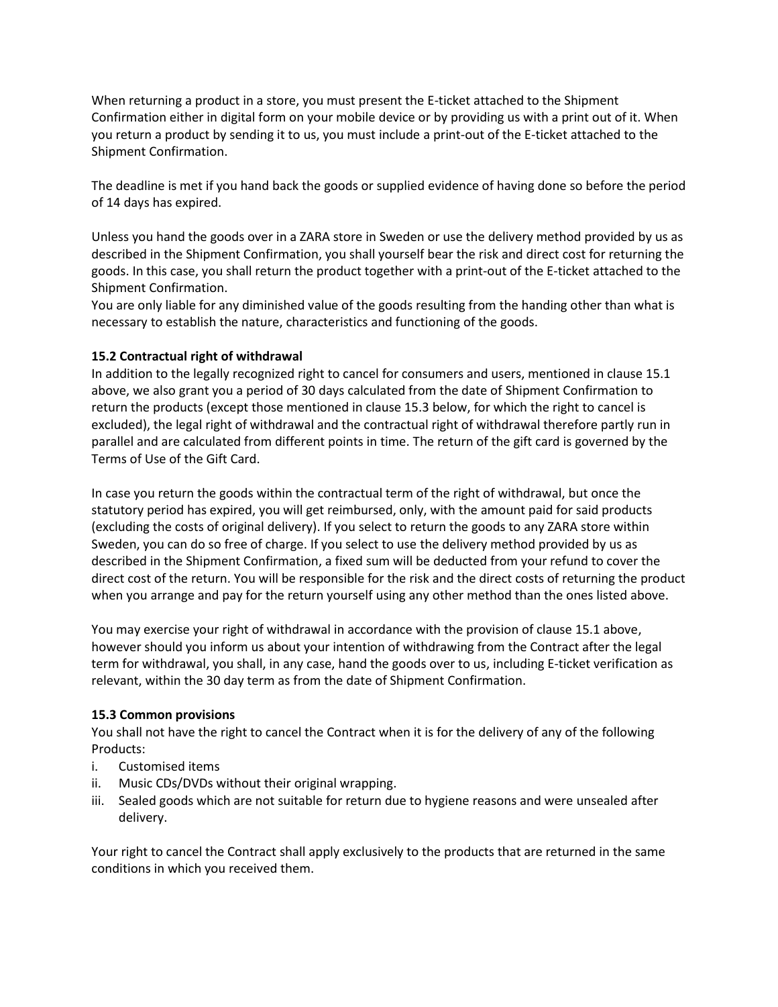When returning a product in a store, you must present the E-ticket attached to the Shipment Confirmation either in digital form on your mobile device or by providing us with a print out of it. When you return a product by sending it to us, you must include a print-out of the E-ticket attached to the Shipment Confirmation.

The deadline is met if you hand back the goods or supplied evidence of having done so before the period of 14 days has expired.

Unless you hand the goods over in a ZARA store in Sweden or use the delivery method provided by us as described in the Shipment Confirmation, you shall yourself bear the risk and direct cost for returning the goods. In this case, you shall return the product together with a print-out of the E-ticket attached to the Shipment Confirmation.

You are only liable for any diminished value of the goods resulting from the handing other than what is necessary to establish the nature, characteristics and functioning of the goods.

#### **15.2 Contractual right of withdrawal**

In addition to the legally recognized right to cancel for consumers and users, mentioned in clause 15.1 above, we also grant you a period of 30 days calculated from the date of Shipment Confirmation to return the products (except those mentioned in clause 15.3 below, for which the right to cancel is excluded), the legal right of withdrawal and the contractual right of withdrawal therefore partly run in parallel and are calculated from different points in time. The return of the gift card is governed by the Terms of Use of the Gift Card.

In case you return the goods within the contractual term of the right of withdrawal, but once the statutory period has expired, you will get reimbursed, only, with the amount paid for said products (excluding the costs of original delivery). If you select to return the goods to any ZARA store within Sweden, you can do so free of charge. If you select to use the delivery method provided by us as described in the Shipment Confirmation, a fixed sum will be deducted from your refund to cover the direct cost of the return. You will be responsible for the risk and the direct costs of returning the product when you arrange and pay for the return yourself using any other method than the ones listed above.

You may exercise your right of withdrawal in accordance with the provision of clause 15.1 above, however should you inform us about your intention of withdrawing from the Contract after the legal term for withdrawal, you shall, in any case, hand the goods over to us, including E-ticket verification as relevant, within the 30 day term as from the date of Shipment Confirmation.

#### **15.3 Common provisions**

You shall not have the right to cancel the Contract when it is for the delivery of any of the following Products:

- i. Customised items
- ii. Music CDs/DVDs without their original wrapping.
- iii. Sealed goods which are not suitable for return due to hygiene reasons and were unsealed after delivery.

Your right to cancel the Contract shall apply exclusively to the products that are returned in the same conditions in which you received them.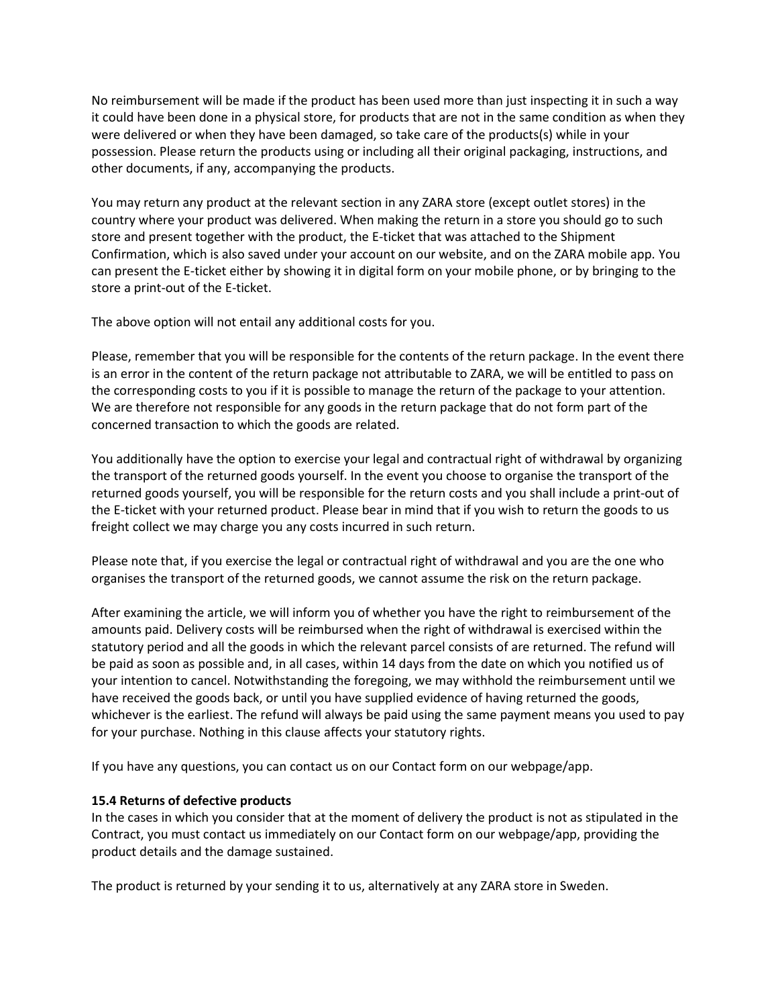No reimbursement will be made if the product has been used more than just inspecting it in such a way it could have been done in a physical store, for products that are not in the same condition as when they were delivered or when they have been damaged, so take care of the products(s) while in your possession. Please return the products using or including all their original packaging, instructions, and other documents, if any, accompanying the products.

You may return any product at the relevant section in any ZARA store (except outlet stores) in the country where your product was delivered. When making the return in a store you should go to such store and present together with the product, the E-ticket that was attached to the Shipment Confirmation, which is also saved under your account on our website, and on the ZARA mobile app. You can present the E-ticket either by showing it in digital form on your mobile phone, or by bringing to the store a print-out of the E-ticket.

The above option will not entail any additional costs for you.

Please, remember that you will be responsible for the contents of the return package. In the event there is an error in the content of the return package not attributable to ZARA, we will be entitled to pass on the corresponding costs to you if it is possible to manage the return of the package to your attention. We are therefore not responsible for any goods in the return package that do not form part of the concerned transaction to which the goods are related.

You additionally have the option to exercise your legal and contractual right of withdrawal by organizing the transport of the returned goods yourself. In the event you choose to organise the transport of the returned goods yourself, you will be responsible for the return costs and you shall include a print-out of the E-ticket with your returned product. Please bear in mind that if you wish to return the goods to us freight collect we may charge you any costs incurred in such return.

Please note that, if you exercise the legal or contractual right of withdrawal and you are the one who organises the transport of the returned goods, we cannot assume the risk on the return package.

After examining the article, we will inform you of whether you have the right to reimbursement of the amounts paid. Delivery costs will be reimbursed when the right of withdrawal is exercised within the statutory period and all the goods in which the relevant parcel consists of are returned. The refund will be paid as soon as possible and, in all cases, within 14 days from the date on which you notified us of your intention to cancel. Notwithstanding the foregoing, we may withhold the reimbursement until we have received the goods back, or until you have supplied evidence of having returned the goods, whichever is the earliest. The refund will always be paid using the same payment means you used to pay for your purchase. Nothing in this clause affects your statutory rights.

If you have any questions, you can contact us on our Contact form on our webpage/app.

#### **15.4 Returns of defective products**

In the cases in which you consider that at the moment of delivery the product is not as stipulated in the Contract, you must contact us immediately on our Contact form on our webpage/app, providing the product details and the damage sustained.

The product is returned by your sending it to us, alternatively at any ZARA store in Sweden.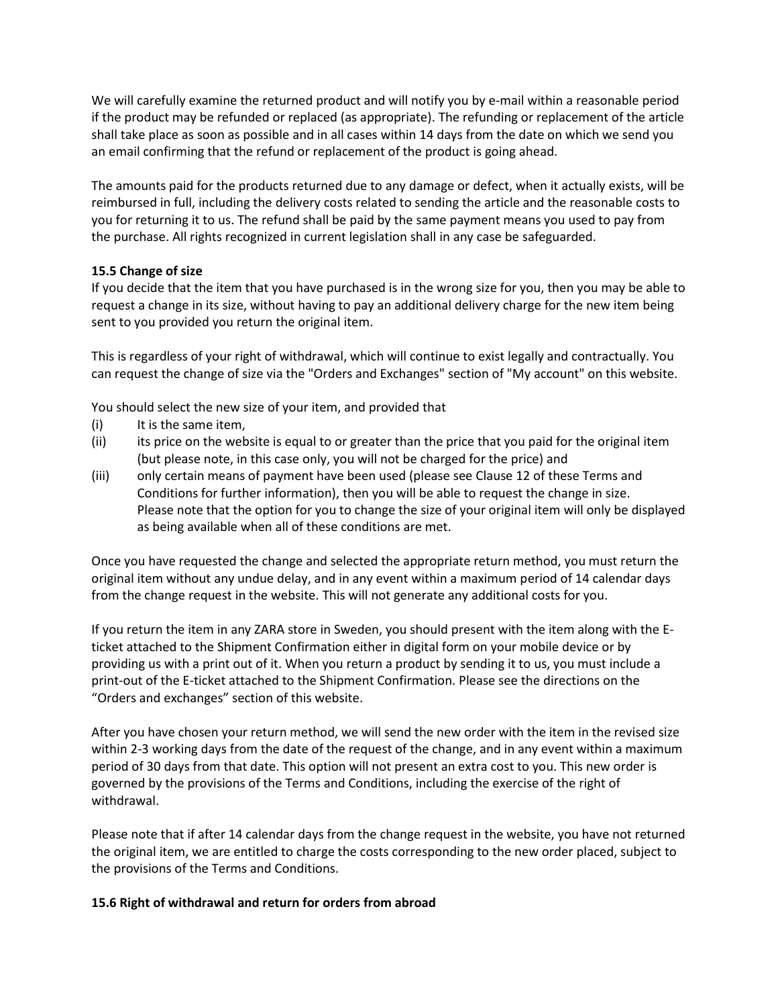We will carefully examine the returned product and will notify you by e-mail within a reasonable period if the product may be refunded or replaced (as appropriate). The refunding or replacement of the article shall take place as soon as possible and in all cases within 14 days from the date on which we send you an email confirming that the refund or replacement of the product is going ahead.

The amounts paid for the products returned due to any damage or defect, when it actually exists, will be reimbursed in full, including the delivery costs related to sending the article and the reasonable costs to you for returning it to us. The refund shall be paid by the same payment means you used to pay from the purchase. All rights recognized in current legislation shall in any case be safeguarded.

#### **15.5 Change of size**

If you decide that the item that you have purchased is in the wrong size for you, then you may be able to request a change in its size, without having to pay an additional delivery charge for the new item being sent to you provided you return the original item.

This is regardless of your right of withdrawal, which will continue to exist legally and contractually. You can request the change of size via the "Orders and Exchanges" section of "My account" on this website.

You should select the new size of your item, and provided that

- (i) It is the same item,
- (ii) its price on the website is equal to or greater than the price that you paid for the original item (but please note, in this case only, you will not be charged for the price) and
- (iii) only certain means of payment have been used (please see Clause 12 of these Terms and Conditions for further information), then you will be able to request the change in size. Please note that the option for you to change the size of your original item will only be displayed as being available when all of these conditions are met.

Once you have requested the change and selected the appropriate return method, you must return the original item without any undue delay, and in any event within a maximum period of 14 calendar days from the change request in the website. This will not generate any additional costs for you.

If you return the item in any ZARA store in Sweden, you should present with the item along with the Eticket attached to the Shipment Confirmation either in digital form on your mobile device or by providing us with a print out of it. When you return a product by sending it to us, you must include a print-out of the E-ticket attached to the Shipment Confirmation. Please see the directions on the "Orders and exchanges" section of this website.

After you have chosen your return method, we will send the new order with the item in the revised size within 2-3 working days from the date of the request of the change, and in any event within a maximum period of 30 days from that date. This option will not present an extra cost to you. This new order is governed by the provisions of the Terms and Conditions, including the exercise of the right of withdrawal.

Please note that if after 14 calendar days from the change request in the website, you have not returned the original item, we are entitled to charge the costs corresponding to the new order placed, subject to the provisions of the Terms and Conditions.

#### **15.6 Right of withdrawal and return for orders from abroad**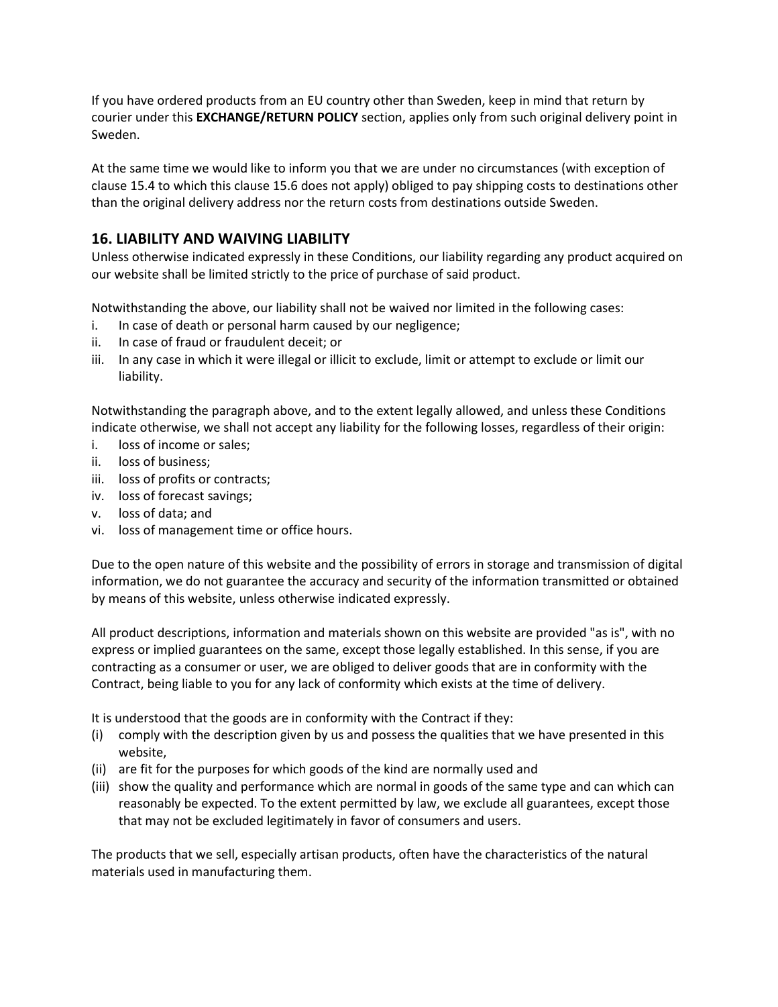If you have ordered products from an EU country other than Sweden, keep in mind that return by courier under this **EXCHANGE/RETURN POLICY** section, applies only from such original delivery point in Sweden.

At the same time we would like to inform you that we are under no circumstances (with exception of clause 15.4 to which this clause 15.6 does not apply) obliged to pay shipping costs to destinations other than the original delivery address nor the return costs from destinations outside Sweden.

# **16. LIABILITY AND WAIVING LIABILITY**

Unless otherwise indicated expressly in these Conditions, our liability regarding any product acquired on our website shall be limited strictly to the price of purchase of said product.

Notwithstanding the above, our liability shall not be waived nor limited in the following cases:

- i. In case of death or personal harm caused by our negligence;
- ii. In case of fraud or fraudulent deceit; or
- iii. In any case in which it were illegal or illicit to exclude, limit or attempt to exclude or limit our liability.

Notwithstanding the paragraph above, and to the extent legally allowed, and unless these Conditions indicate otherwise, we shall not accept any liability for the following losses, regardless of their origin:

- i. loss of income or sales;
- ii. loss of business;
- iii. loss of profits or contracts;
- iv. loss of forecast savings;
- v. loss of data; and
- vi. loss of management time or office hours.

Due to the open nature of this website and the possibility of errors in storage and transmission of digital information, we do not guarantee the accuracy and security of the information transmitted or obtained by means of this website, unless otherwise indicated expressly.

All product descriptions, information and materials shown on this website are provided "as is", with no express or implied guarantees on the same, except those legally established. In this sense, if you are contracting as a consumer or user, we are obliged to deliver goods that are in conformity with the Contract, being liable to you for any lack of conformity which exists at the time of delivery.

It is understood that the goods are in conformity with the Contract if they:

- (i) comply with the description given by us and possess the qualities that we have presented in this website,
- (ii) are fit for the purposes for which goods of the kind are normally used and
- (iii) show the quality and performance which are normal in goods of the same type and can which can reasonably be expected. To the extent permitted by law, we exclude all guarantees, except those that may not be excluded legitimately in favor of consumers and users.

The products that we sell, especially artisan products, often have the characteristics of the natural materials used in manufacturing them.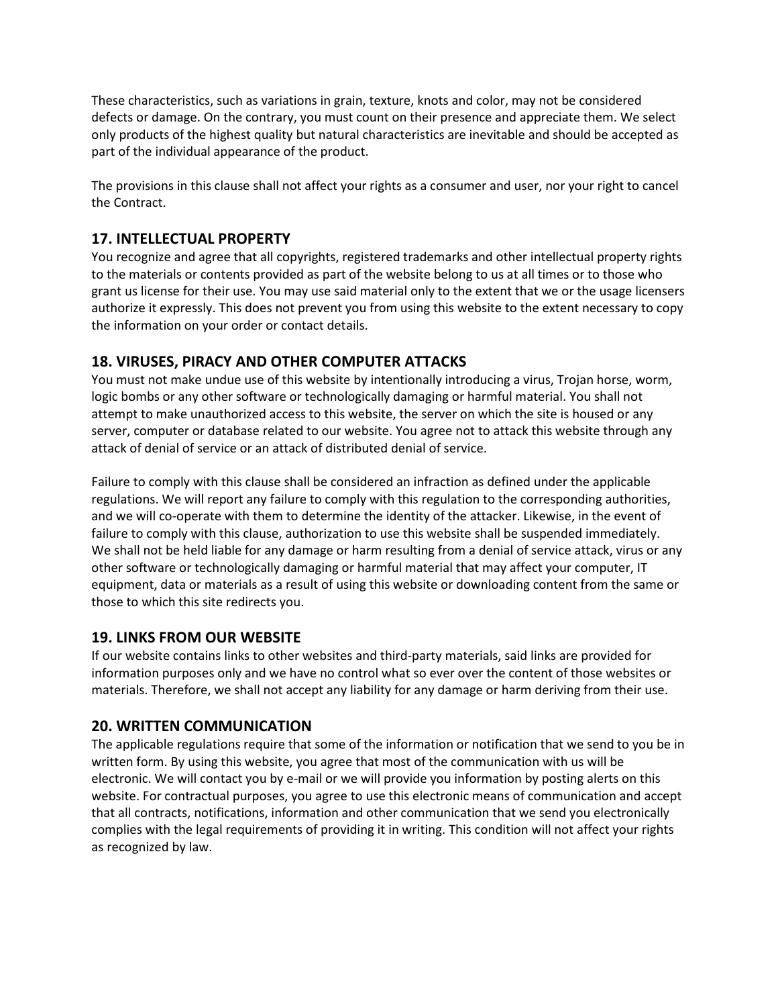These characteristics, such as variations in grain, texture, knots and color, may not be considered defects or damage. On the contrary, you must count on their presence and appreciate them. We select only products of the highest quality but natural characteristics are inevitable and should be accepted as part of the individual appearance of the product.

The provisions in this clause shall not affect your rights as a consumer and user, nor your right to cancel the Contract.

### **17. INTELLECTUAL PROPERTY**

You recognize and agree that all copyrights, registered trademarks and other intellectual property rights to the materials or contents provided as part of the website belong to us at all times or to those who grant us license for their use. You may use said material only to the extent that we or the usage licensers authorize it expressly. This does not prevent you from using this website to the extent necessary to copy the information on your order or contact details.

### **18. VIRUSES, PIRACY AND OTHER COMPUTER ATTACKS**

You must not make undue use of this website by intentionally introducing a virus, Trojan horse, worm, logic bombs or any other software or technologically damaging or harmful material. You shall not attempt to make unauthorized access to this website, the server on which the site is housed or any server, computer or database related to our website. You agree not to attack this website through any attack of denial of service or an attack of distributed denial of service.

Failure to comply with this clause shall be considered an infraction as defined under the applicable regulations. We will report any failure to comply with this regulation to the corresponding authorities, and we will co-operate with them to determine the identity of the attacker. Likewise, in the event of failure to comply with this clause, authorization to use this website shall be suspended immediately. We shall not be held liable for any damage or harm resulting from a denial of service attack, virus or any other software or technologically damaging or harmful material that may affect your computer, IT equipment, data or materials as a result of using this website or downloading content from the same or those to which this site redirects you.

#### **19. LINKS FROM OUR WEBSITE**

If our website contains links to other websites and third-party materials, said links are provided for information purposes only and we have no control what so ever over the content of those websites or materials. Therefore, we shall not accept any liability for any damage or harm deriving from their use.

#### **20. WRITTEN COMMUNICATION**

The applicable regulations require that some of the information or notification that we send to you be in written form. By using this website, you agree that most of the communication with us will be electronic. We will contact you by e-mail or we will provide you information by posting alerts on this website. For contractual purposes, you agree to use this electronic means of communication and accept that all contracts, notifications, information and other communication that we send you electronically complies with the legal requirements of providing it in writing. This condition will not affect your rights as recognized by law.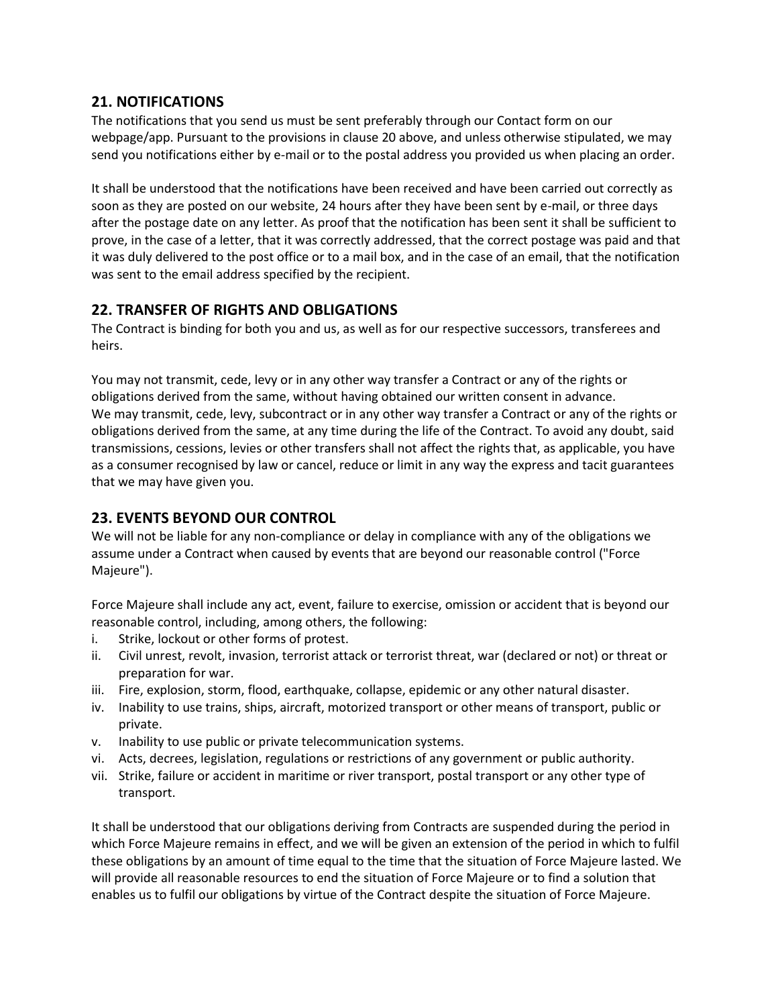### **21. NOTIFICATIONS**

The notifications that you send us must be sent preferably through our Contact form on our webpage/app. Pursuant to the provisions in clause 20 above, and unless otherwise stipulated, we may send you notifications either by e-mail or to the postal address you provided us when placing an order.

It shall be understood that the notifications have been received and have been carried out correctly as soon as they are posted on our website, 24 hours after they have been sent by e-mail, or three days after the postage date on any letter. As proof that the notification has been sent it shall be sufficient to prove, in the case of a letter, that it was correctly addressed, that the correct postage was paid and that it was duly delivered to the post office or to a mail box, and in the case of an email, that the notification was sent to the email address specified by the recipient.

# **22. TRANSFER OF RIGHTS AND OBLIGATIONS**

The Contract is binding for both you and us, as well as for our respective successors, transferees and heirs.

You may not transmit, cede, levy or in any other way transfer a Contract or any of the rights or obligations derived from the same, without having obtained our written consent in advance. We may transmit, cede, levy, subcontract or in any other way transfer a Contract or any of the rights or obligations derived from the same, at any time during the life of the Contract. To avoid any doubt, said transmissions, cessions, levies or other transfers shall not affect the rights that, as applicable, you have as a consumer recognised by law or cancel, reduce or limit in any way the express and tacit guarantees that we may have given you.

# **23. EVENTS BEYOND OUR CONTROL**

We will not be liable for any non-compliance or delay in compliance with any of the obligations we assume under a Contract when caused by events that are beyond our reasonable control ("Force Majeure").

Force Majeure shall include any act, event, failure to exercise, omission or accident that is beyond our reasonable control, including, among others, the following:

- i. Strike, lockout or other forms of protest.
- ii. Civil unrest, revolt, invasion, terrorist attack or terrorist threat, war (declared or not) or threat or preparation for war.
- iii. Fire, explosion, storm, flood, earthquake, collapse, epidemic or any other natural disaster.
- iv. Inability to use trains, ships, aircraft, motorized transport or other means of transport, public or private.
- v. Inability to use public or private telecommunication systems.
- vi. Acts, decrees, legislation, regulations or restrictions of any government or public authority.
- vii. Strike, failure or accident in maritime or river transport, postal transport or any other type of transport.

It shall be understood that our obligations deriving from Contracts are suspended during the period in which Force Majeure remains in effect, and we will be given an extension of the period in which to fulfil these obligations by an amount of time equal to the time that the situation of Force Majeure lasted. We will provide all reasonable resources to end the situation of Force Majeure or to find a solution that enables us to fulfil our obligations by virtue of the Contract despite the situation of Force Majeure.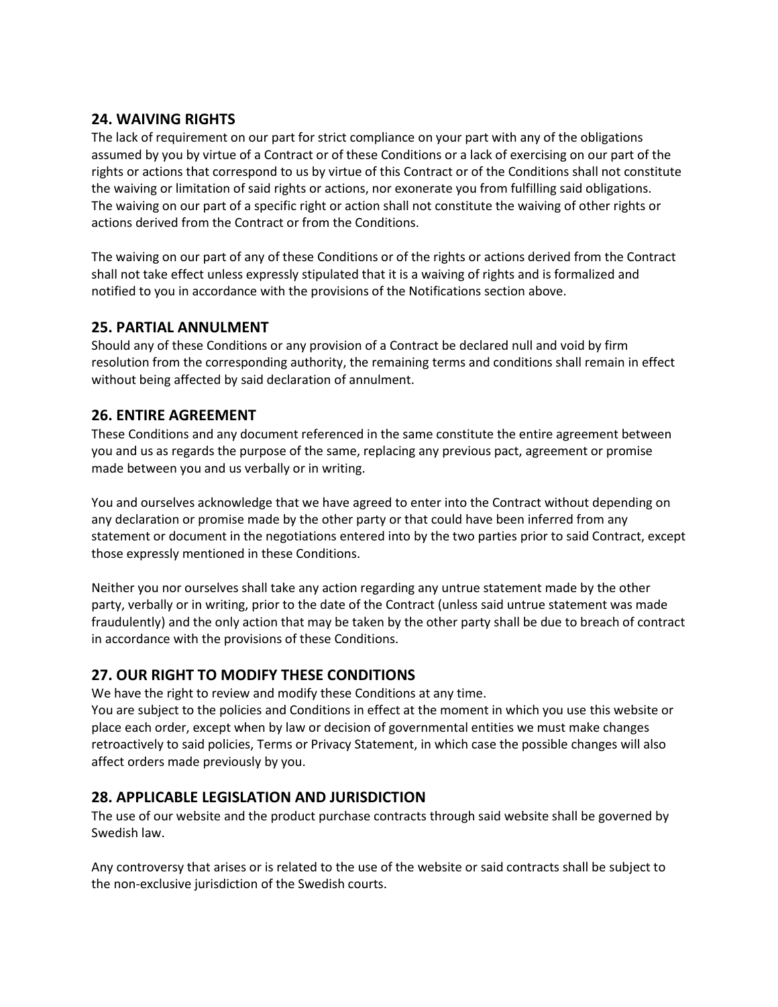# **24. WAIVING RIGHTS**

The lack of requirement on our part for strict compliance on your part with any of the obligations assumed by you by virtue of a Contract or of these Conditions or a lack of exercising on our part of the rights or actions that correspond to us by virtue of this Contract or of the Conditions shall not constitute the waiving or limitation of said rights or actions, nor exonerate you from fulfilling said obligations. The waiving on our part of a specific right or action shall not constitute the waiving of other rights or actions derived from the Contract or from the Conditions.

The waiving on our part of any of these Conditions or of the rights or actions derived from the Contract shall not take effect unless expressly stipulated that it is a waiving of rights and is formalized and notified to you in accordance with the provisions of the Notifications section above.

# **25. PARTIAL ANNULMENT**

Should any of these Conditions or any provision of a Contract be declared null and void by firm resolution from the corresponding authority, the remaining terms and conditions shall remain in effect without being affected by said declaration of annulment.

### **26. ENTIRE AGREEMENT**

These Conditions and any document referenced in the same constitute the entire agreement between you and us as regards the purpose of the same, replacing any previous pact, agreement or promise made between you and us verbally or in writing.

You and ourselves acknowledge that we have agreed to enter into the Contract without depending on any declaration or promise made by the other party or that could have been inferred from any statement or document in the negotiations entered into by the two parties prior to said Contract, except those expressly mentioned in these Conditions.

Neither you nor ourselves shall take any action regarding any untrue statement made by the other party, verbally or in writing, prior to the date of the Contract (unless said untrue statement was made fraudulently) and the only action that may be taken by the other party shall be due to breach of contract in accordance with the provisions of these Conditions.

# **27. OUR RIGHT TO MODIFY THESE CONDITIONS**

We have the right to review and modify these Conditions at any time.

You are subject to the policies and Conditions in effect at the moment in which you use this website or place each order, except when by law or decision of governmental entities we must make changes retroactively to said policies, Terms or Privacy Statement, in which case the possible changes will also affect orders made previously by you.

# **28. APPLICABLE LEGISLATION AND JURISDICTION**

The use of our website and the product purchase contracts through said website shall be governed by Swedish law.

Any controversy that arises or is related to the use of the website or said contracts shall be subject to the non-exclusive jurisdiction of the Swedish courts.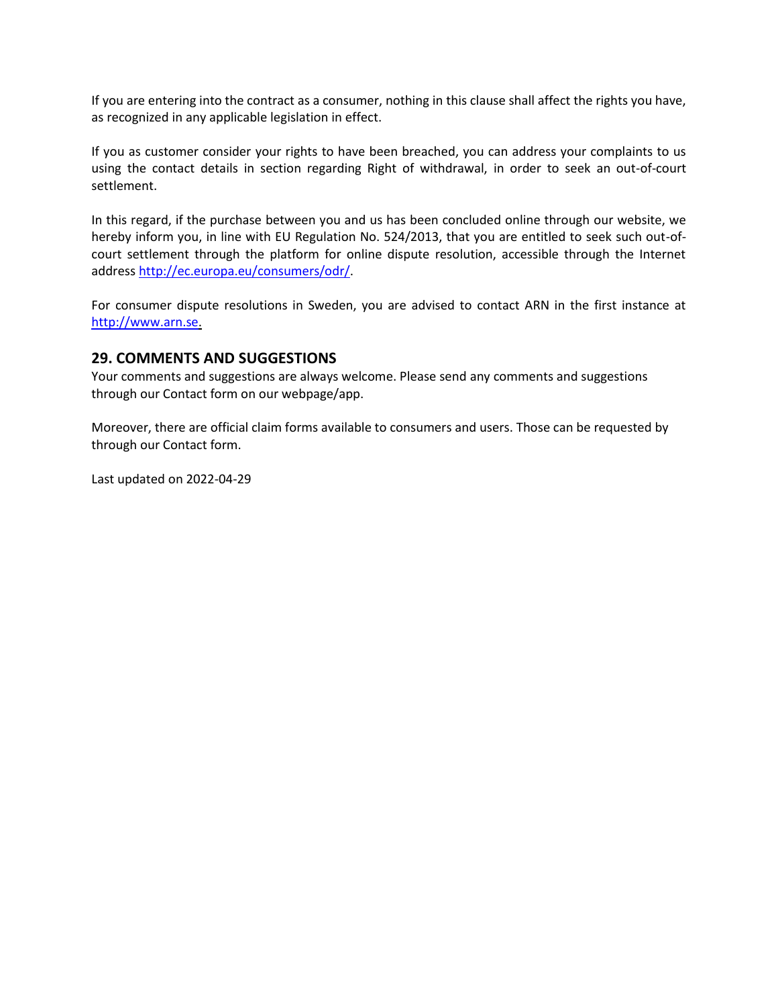If you are entering into the contract as a consumer, nothing in this clause shall affect the rights you have, as recognized in any applicable legislation in effect.

If you as customer consider your rights to have been breached, you can address your complaints to us using the contact details in section regarding Right of withdrawal, in order to seek an out-of-court settlement.

In this regard, if the purchase between you and us has been concluded online through our website, we hereby inform you, in line with EU Regulation No. 524/2013, that you are entitled to seek such out-ofcourt settlement through the platform for online dispute resolution, accessible through the Internet address [http://ec.europa.eu/consumers/odr/.](http://ec.europa.eu/consumers/odr/)

For consumer dispute resolutions in Sweden, you are advised to contact ARN in the first instance at [http://www.arn.se.](http://www.arn.se/)

#### **29. COMMENTS AND SUGGESTIONS**

Your comments and suggestions are always welcome. Please send any comments and suggestions through our Contact form on our webpage/app.

Moreover, there are official claim forms available to consumers and users. Those can be requested by through our Contact form.

Last updated on 2022-04-29